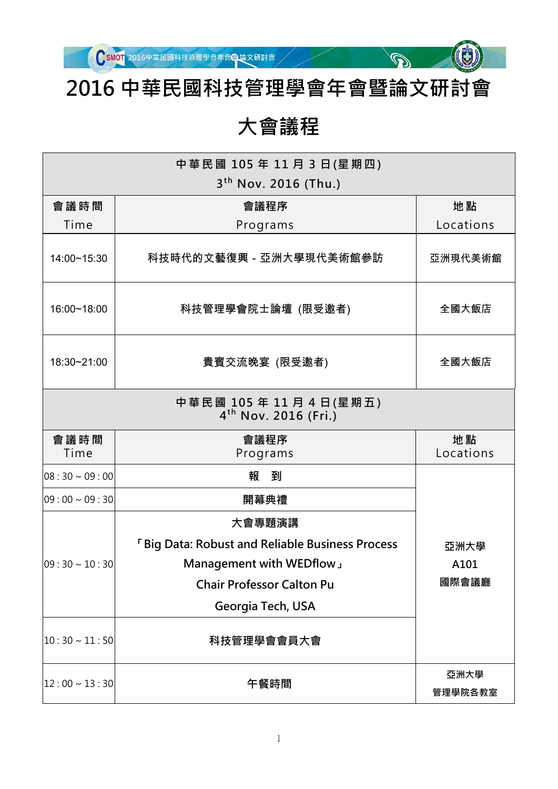

 $\mathbb{Q}^{\mathbb{Z}}$ 

### **2016 中華民國科技管理學會年會暨論文研討會**

#### **大會議程**

| 中 華 民 國 105 年 11 月 3 日 (星 期 四 )<br>$3th$ Nov. 2016 (Thu.) |                                                                     |                 |  |  |
|-----------------------------------------------------------|---------------------------------------------------------------------|-----------------|--|--|
| 會議時間                                                      | 會議程序                                                                | 地點              |  |  |
| Time                                                      | Programs                                                            | Locations       |  |  |
| 14:00~15:30                                               | 科技時代的文藝復興-亞洲大學現代美術館參訪                                               | 亞洲現代美術館         |  |  |
| 16:00~18:00                                               | 科技管理學會院士論壇 (限受邀者)                                                   | 全國大飯店           |  |  |
| 18:30~21:00                                               | 貴賓交流晚宴 (限受邀者)                                                       | 全國大飯店           |  |  |
|                                                           | 中 華 民 國 105 年 11 月 4 日 (星 期 五 )<br>4 <sup>th</sup> Nov. 2016 (Fri.) |                 |  |  |
| 會議時間<br>Time                                              | 會議程序<br>Programs                                                    | 地點<br>Locations |  |  |
| $08:30 \sim 09:00$                                        | 報 到                                                                 |                 |  |  |
| $09:00 \sim 09:30$                                        | 開幕典禮                                                                |                 |  |  |
|                                                           | 大會專題演講                                                              |                 |  |  |
|                                                           | <b>FBig Data: Robust and Reliable Business Process</b>              | 亞洲大學            |  |  |
| $09:30 \sim 10:30$                                        | Management with WEDflow                                             | A101            |  |  |
|                                                           | <b>Chair Professor Calton Pu</b>                                    | 國際會議廳           |  |  |
|                                                           | Georgia Tech, USA                                                   |                 |  |  |
| $10:30 \sim 11:50$                                        | 科技管理學會會員大會                                                          |                 |  |  |
| $12:00 \sim 13:30$                                        | 午餐時間                                                                | 亞洲大學<br>管理學院各教室 |  |  |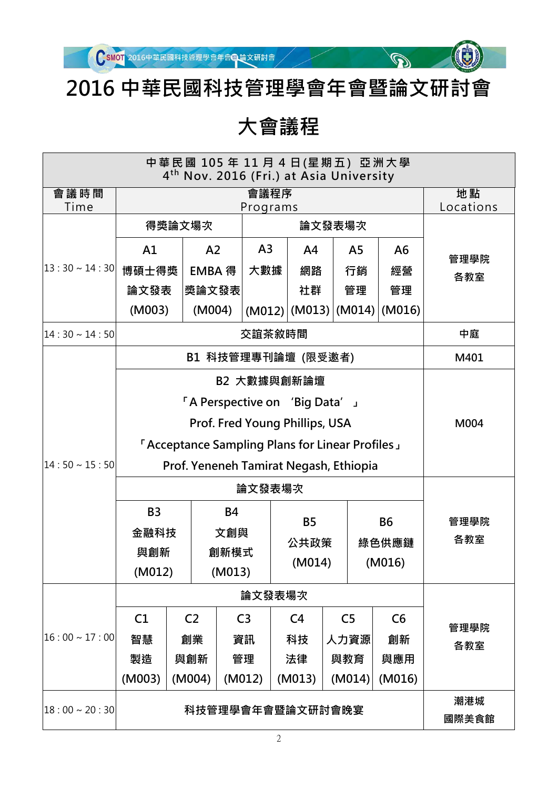

### **2016 中華民國科技管理學會年會暨論文研討會**

 $\mathbb{Q}^{\mathbb{Z}}$ 

### **大會議程**

| 中 華 民 國 105 年 11 月 4 日(星 期 五 ) 亞 洲 大 學<br>4 <sup>th</sup> Nov. 2016 (Fri.) at Asia University |                                                                                                                                                                                                   |                     |                                                    |                       |                                               |                                      |                                      |                 |
|-----------------------------------------------------------------------------------------------|---------------------------------------------------------------------------------------------------------------------------------------------------------------------------------------------------|---------------------|----------------------------------------------------|-----------------------|-----------------------------------------------|--------------------------------------|--------------------------------------|-----------------|
| 會議時間<br>Time                                                                                  |                                                                                                                                                                                                   |                     |                                                    | 會議程序                  |                                               |                                      |                                      | 地點<br>Locations |
|                                                                                               | Programs<br>得獎論文場次<br>論文發表場次                                                                                                                                                                      |                     |                                                    |                       |                                               |                                      |                                      |                 |
| $ 13:30 \sim 14:30 $                                                                          | A1<br>博碩士得獎<br>論文發表<br>(M003)                                                                                                                                                                     |                     | A <sub>2</sub><br><b>EMBA 得</b><br>獎論文發表<br>(M004) | A <sub>3</sub><br>大數據 | A <sup>4</sup><br>網路<br>社群<br>$(M012)$ (M013) | A <sub>5</sub><br>行銷<br>管理<br>(M014) | A <sub>6</sub><br>經營<br>管理<br>(M016) | 管理學院<br>各教室     |
| $14:30 \sim 14:50$                                                                            |                                                                                                                                                                                                   |                     |                                                    | 交誼茶敘時間                |                                               |                                      |                                      | 中庭              |
|                                                                                               | B1 科技管理專刊論壇 (限受邀者)                                                                                                                                                                                |                     |                                                    |                       |                                               |                                      | M401                                 |                 |
| $ 14:50 \sim 15:50 $                                                                          | B2 大數據與創新論壇<br>If A Perspective on 'Big Data'<br>Prof. Fred Young Phillips, USA<br><b>EXECTED FIGURE:</b> FACCEPTACE Sampling Plans for Linear Profiles<br>Prof. Yeneneh Tamirat Negash, Ethiopia |                     |                                                    |                       |                                               |                                      |                                      | M004            |
|                                                                                               | <b>B3</b><br>金融科技<br>與創新<br>(M012)                                                                                                                                                                |                     | 論文發表場次<br><b>B4</b><br>文創與<br>創新模式<br>(M013)       |                       | <b>B5</b><br>公共政策<br>(M014)                   |                                      | <b>B6</b><br>綠色供應鏈<br>(M016)         | 管理學院<br>各教室     |
|                                                                                               |                                                                                                                                                                                                   |                     |                                                    | 論文發表場次                |                                               |                                      |                                      |                 |
|                                                                                               | C1                                                                                                                                                                                                | C <sub>2</sub>      |                                                    | C <sub>3</sub>        | C <sub>4</sub>                                | C <sub>5</sub>                       | C6                                   | 管理學院            |
| $ 16:00 \sim 17:00 $                                                                          | 智慧<br>製造<br>(M003)                                                                                                                                                                                | 創業<br>與創新<br>(M004) |                                                    | 資訊<br>管理<br>(M012)    | 科技<br>法律<br>(M013)                            | 人力資源<br>與教育<br>(M014)                | 創新<br>與應用<br>(M016)                  | 各教室             |
| $18:00 \sim 20:30$                                                                            | 潮港城<br>科技管理學會年會暨論文研討會晚宴<br>國際美食館                                                                                                                                                                  |                     |                                                    |                       |                                               |                                      |                                      |                 |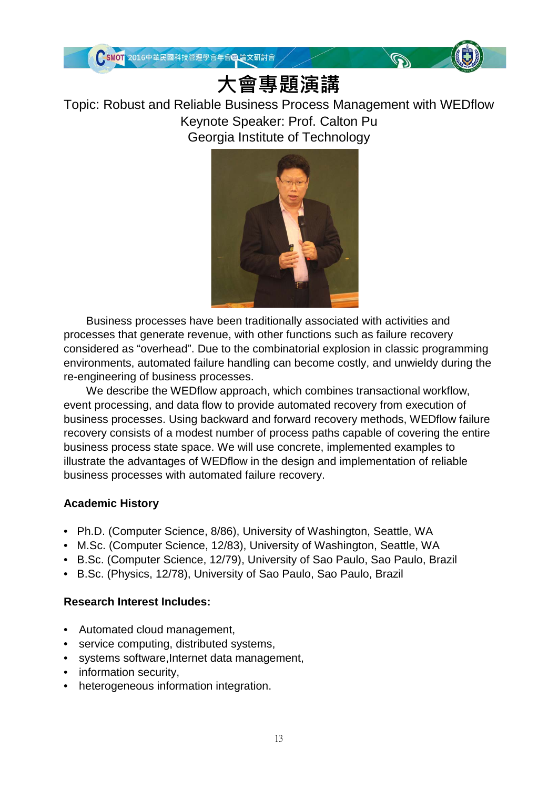

# **大會專題演講**

#### Topic: Robust and Reliable Business Process Management with WEDflow Keynote Speaker: Prof. Calton Pu Georgia Institute of Technology



Business processes have been traditionally associated with activities and processes that generate revenue, with other functions such as failure recovery considered as "overhead". Due to the combinatorial explosion in classic programming environments, automated failure handling can become costly, and unwieldy during the re-engineering of business processes.

We describe the WEDflow approach, which combines transactional workflow, event processing, and data flow to provide automated recovery from execution of business processes. Using backward and forward recovery methods, WEDflow failure recovery consists of a modest number of process paths capable of covering the entire business process state space. We will use concrete, implemented examples to illustrate the advantages of WEDflow in the design and implementation of reliable business processes with automated failure recovery.

#### **Academic History**

- Ph.D. (Computer Science, 8/86), University of Washington, Seattle, WA
- M.Sc. (Computer Science, 12/83), University of Washington, Seattle, WA
- B.Sc. (Computer Science, 12/79), University of Sao Paulo, Sao Paulo, Brazil
- B.Sc. (Physics, 12/78), University of Sao Paulo, Sao Paulo, Brazil

#### **Research Interest Includes:**

- Automated cloud management,
- service computing, distributed systems,
- systems software, Internet data management,
- information security,
- heterogeneous information integration.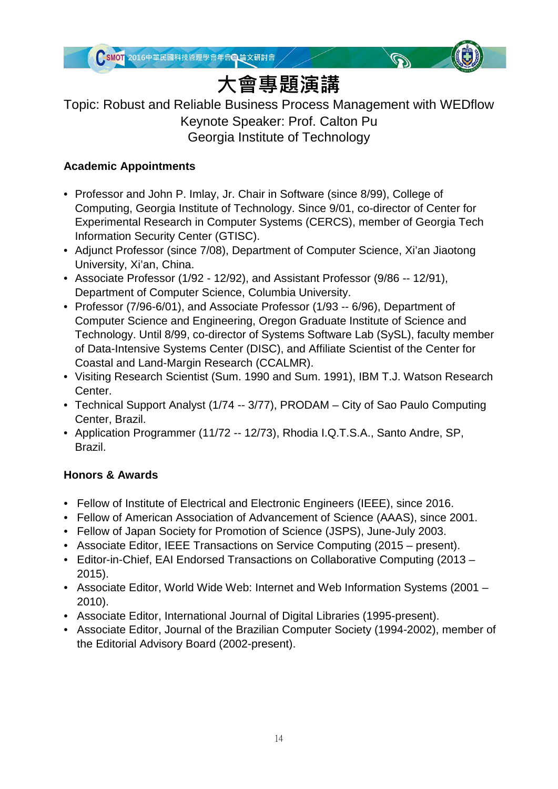



# **大會專題演講**

#### Topic: Robust and Reliable Business Process Management with WEDflow Keynote Speaker: Prof. Calton Pu Georgia Institute of Technology

#### **Academic Appointments**

- Professor and John P. Imlay, Jr. Chair in Software (since 8/99), College of Computing, Georgia Institute of Technology. Since 9/01, co-director of Center for Experimental Research in Computer Systems (CERCS), member of Georgia Tech Information Security Center (GTISC).
- Adjunct Professor (since 7/08), Department of Computer Science, Xi'an Jiaotong University, Xi'an, China.
- Associate Professor (1/92 12/92), and Assistant Professor (9/86 -- 12/91), Department of Computer Science, Columbia University.
- Professor (7/96-6/01), and Associate Professor (1/93 -- 6/96), Department of Computer Science and Engineering, Oregon Graduate Institute of Science and Technology. Until 8/99, co-director of Systems Software Lab (SySL), faculty member of Data-Intensive Systems Center (DISC), and Affiliate Scientist of the Center for Coastal and Land-Margin Research (CCALMR).
- Visiting Research Scientist (Sum. 1990 and Sum. 1991), IBM T.J. Watson Research Center.
- Technical Support Analyst (1/74 -- 3/77), PRODAM City of Sao Paulo Computing Center, Brazil.
- Application Programmer (11/72 -- 12/73), Rhodia I.Q.T.S.A., Santo Andre, SP, Brazil.

#### **Honors & Awards**

- Fellow of Institute of Electrical and Electronic Engineers (IEEE), since 2016.
- Fellow of American Association of Advancement of Science (AAAS), since 2001.
- Fellow of Japan Society for Promotion of Science (JSPS), June-July 2003.
- Associate Editor, IEEE Transactions on Service Computing (2015 present).
- Editor-in-Chief, EAI Endorsed Transactions on Collaborative Computing (2013 2015).
- Associate Editor, World Wide Web: Internet and Web Information Systems (2001 2010).
- Associate Editor, International Journal of Digital Libraries (1995-present).
- Associate Editor, Journal of the Brazilian Computer Society (1994-2002), member of the Editorial Advisory Board (2002-present).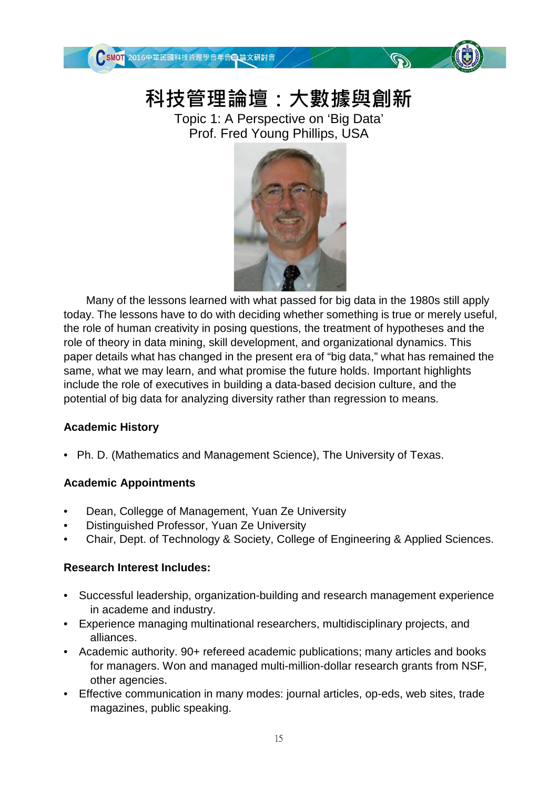

### **科技管理論壇:大數據與創新**

 $\mathbb{Q}$ 

Topic 1: A Perspective on 'Big Data' Prof. Fred Young Phillips, USA



Many of the lessons learned with what passed for big data in the 1980s still apply today. The lessons have to do with deciding whether something is true or merely useful, the role of human creativity in posing questions, the treatment of hypotheses and the role of theory in data mining, skill development, and organizational dynamics. This paper details what has changed in the present era of "big data," what has remained the same, what we may learn, and what promise the future holds. Important highlights include the role of executives in building a data-based decision culture, and the potential of big data for analyzing diversity rather than regression to means.

#### **Academic History**

• Ph. D. (Mathematics and Management Science), The University of Texas.

#### **Academic Appointments**

- Dean, Collegge of Management, Yuan Ze University
- Distinguished Professor, Yuan Ze University
- Chair, Dept. of Technology & Society, College of Engineering & Applied Sciences.

#### **Research Interest Includes:**

- Successful leadership, organization-building and research management experience in academe and industry.
- Experience managing multinational researchers, multidisciplinary projects, and alliances.
- Academic authority. 90+ refereed academic publications; many articles and books for managers. Won and managed multi-million-dollar research grants from NSF, other agencies.
- Effective communication in many modes: journal articles, op-eds, web sites, trade magazines, public speaking.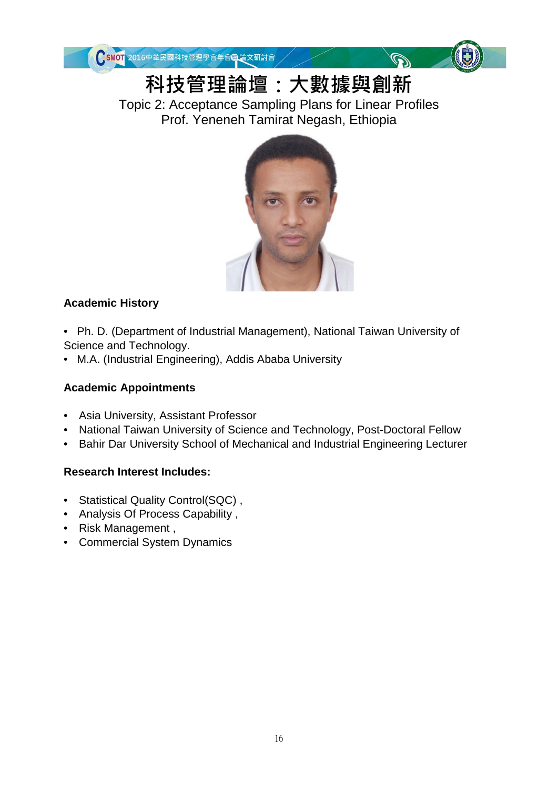



 $\mathbb{Q}$ 

**科技管理論壇:大數據與創新**

Topic 2: Acceptance Sampling Plans for Linear Profiles Prof. Yeneneh Tamirat Negash, Ethiopia



#### **Academic History**

• Ph. D. (Department of Industrial Management), National Taiwan University of Science and Technology.

• M.A. (Industrial Engineering), Addis Ababa University

#### **Academic Appointments**

- Asia University, Assistant Professor
- National Taiwan University of Science and Technology, Post-Doctoral Fellow
- Bahir Dar University School of Mechanical and Industrial Engineering Lecturer

#### **Research Interest Includes:**

- Statistical Quality Control(SQC) ,
- Analysis Of Process Capability ,
- Risk Management ,
- Commercial System Dynamics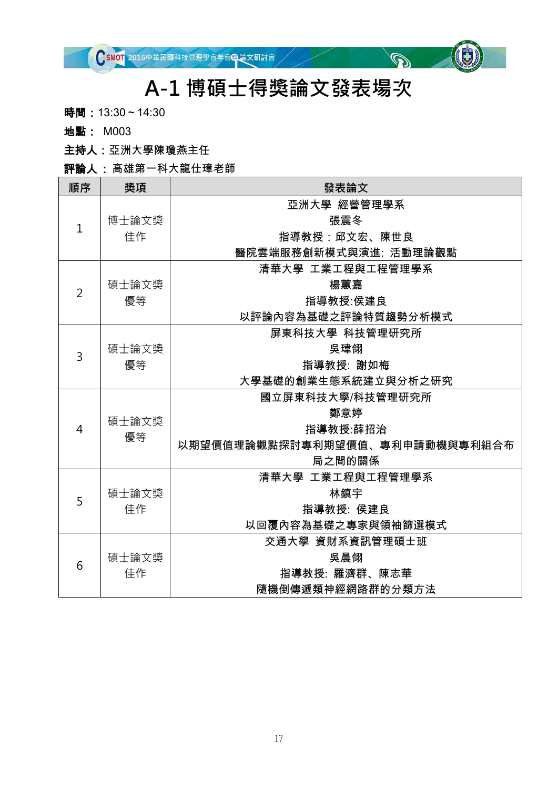

#### **A-1 博碩士得獎論文發表場次**

 $\mathbb{Q}^{\mathbb{Z}}$ 

時間: 13:30~14:30

地點: M003

主持人:亞洲大學陳瓊燕主任

評論人 : 高雄第一科大龍仕璋老師

| 順序             | 獎項    | 發表論文                           |
|----------------|-------|--------------------------------|
| $\mathbf{1}$   |       | 亞洲大學 經營管理學系                    |
|                | 博士論文獎 | 張震冬                            |
|                | 佳作    | 指導教授:邱文宏、陳世良                   |
|                |       | 醫院雲端服務創新模式與演進: 活動理論觀點          |
|                |       | 清華大學 工業工程與工程管理學系               |
| $\overline{2}$ | 碩士論文獎 | 楊蕙嘉                            |
|                | 優等    | 指導教授:侯建良                       |
|                |       | 以評論內容為基礎之評論特質趨勢分析模式            |
|                |       | 屏東科技大學 科技管理研究所                 |
| 3              | 碩士論文獎 | 吳瑋翎                            |
|                | 優等    | 指導教授: 謝如梅                      |
|                |       | 大學基礎的創業生態系統建立與分析之研究            |
|                |       | 國立屏東科技大學/科技管理研究所               |
|                | 碩士論文獎 | 鄭意婷                            |
| 4              | 優等    | 指導教授:薛招治                       |
|                |       | 以期望價值理論觀點探討專利期望價值、專利申請動機與專利組合布 |
|                |       | 局之間的關係                         |
|                |       | 清華大學 工業工程與工程管理學系               |
| 5              | 碩士論文獎 | 林鎮宇                            |
|                | 佳作    | 指導教授: 侯建良                      |
|                |       | 以回覆內容為基礎之專家與領袖篩選模式             |
|                |       | 交通大學 資財系資訊管理碩士班                |
| 6              | 碩士論文獎 | 吳晨翎                            |
|                | 佳作    | 指導教授: 羅濟群、陳志華                  |
|                |       | 隨機倒傳遞類神經網路群的分類方法               |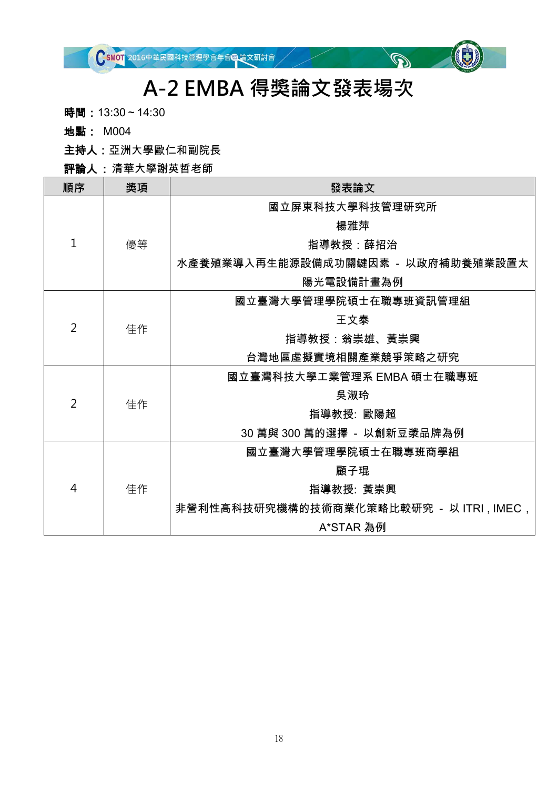# **A-2 EMBA 得獎論文發表場次**

 $\mathbb{Q}^{\mathbb{Z}}$ 

時間: 13:30~14:30

地點: M004

主持人:亞洲大學歐仁和副院長

評論人 : 清華大學謝英哲老師

| 順序             | 獎項 | 發表論文                                      |
|----------------|----|-------------------------------------------|
|                |    | 國立屏東科技大學科技管理研究所                           |
|                |    | 楊雅萍                                       |
| $\mathbf 1$    | 優等 | 指導教授:薛招治                                  |
|                |    | 水產養殖業導入再生能源設備成功關鍵因素 - 以政府補助養殖業設置太         |
|                |    | 陽光電設備計畫為例                                 |
|                |    | 國立臺灣大學管理學院碩士在職專班資訊管理組                     |
| $\overline{2}$ |    | 王文泰                                       |
|                | 佳作 | 指導教授:翁崇雄、黃崇興                              |
|                |    | 台灣地區虛擬實境相關產業競爭策略之研究                       |
|                |    | 國立臺灣科技大學工業管理系 EMBA 碩士在職專班                 |
| $\overline{2}$ |    | 吳淑玲                                       |
|                | 佳作 | 指導教授: 歐陽超                                 |
|                |    | 30 萬與 300 萬的選擇 - 以創新豆漿品牌為例                |
|                |    | 國立臺灣大學管理學院碩士在職專班商學組                       |
| 4              |    | 顧子琨                                       |
|                | 佳作 | 指導教授: 黃崇興                                 |
|                |    | 非營利性高科技研究機構的技術商業化策略比較研究 - 以 ITRI , IMEC , |
|                |    | A*STAR 為例                                 |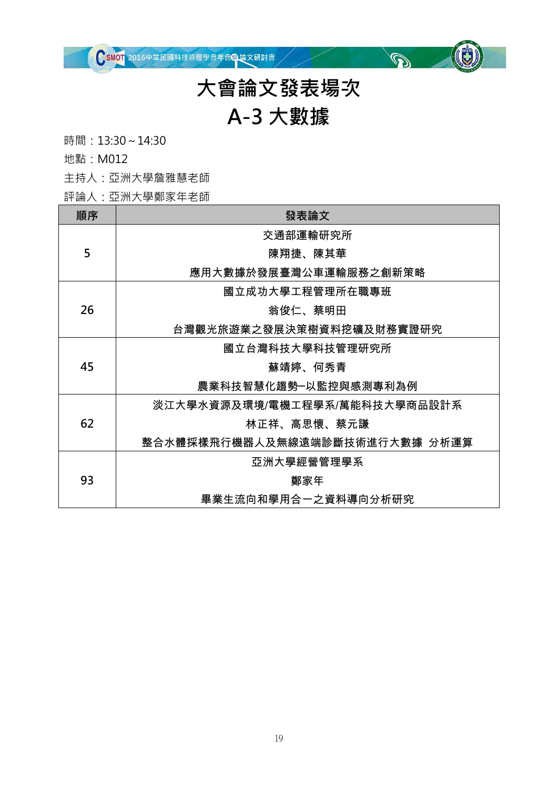

# **大會論文發表場次**

 $\mathbb{Q}^{\mathbb{Z}}$ 

# **A-3 大數據**

時間:13:30~14:30

地點:M012

主持人:亞洲大學詹雅慧老師

評論人:亞洲大學鄭家年老師

| 順序 | 發表論文                           |
|----|--------------------------------|
|    | 交通部運輸研究所                       |
| 5  | 陳翔捷、陳其華                        |
|    | 應用大數據於發展臺灣公車運輸服務之創新策略          |
|    | 國立成功大學工程管理所在職專班                |
| 26 | 翁俊仁、蔡明田                        |
|    | 台灣觀光旅遊業之發展決策樹資料挖礦及財務實證研究       |
|    | 國立台灣科技大學科技管理研究所                |
| 45 | 蘇靖婷、何秀青                        |
|    | 農業科技智慧化趨勢─以監控與感測專利為例           |
|    | 淡江大學水資源及環境/電機工程學系/萬能科技大學商品設計系  |
| 62 | 林正祥、高思懷、蔡元謙                    |
|    | 整合水體採樣飛行機器人及無線遠端診斷技術進行大數據 分析運算 |
| 93 | 亞洲大學經營管理學系                     |
|    | 鄭家年                            |
|    | 畢業生流向和學用合一之資料導向分析研究            |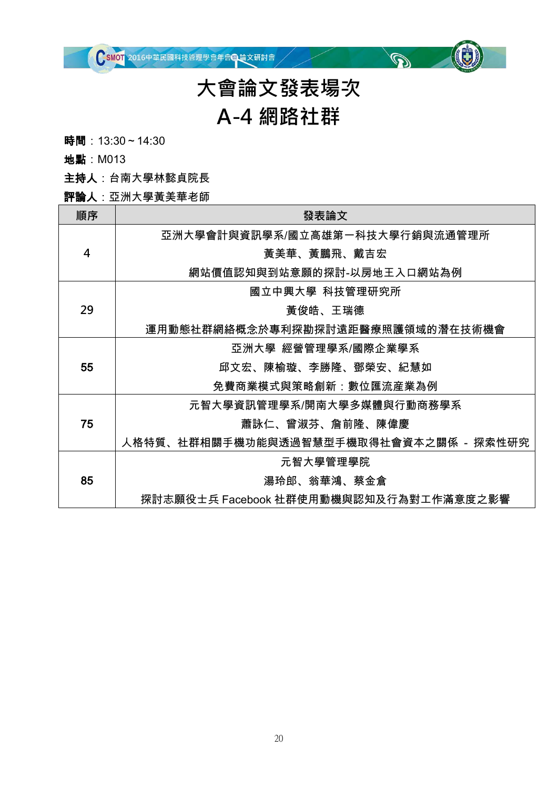

### **大會論文發表場次 A-4 網路社群**

 $\mathbb{Q}^{\mathbb{Z}}$ 

時間: 13:30~14:30

地點:M013

主持人:台南大學林懿貞院長

評論人:亞洲大學黃美華老師

| 順序 | 發表論文                                   |
|----|----------------------------------------|
|    | 亞洲大學會計與資訊學系/國立高雄第一科技大學行銷與流通管理所         |
| 4  | 黃美華、黃鵬飛、戴吉宏                            |
|    | 網站價值認知與到站意願的探討-以房地王入口網站為例              |
|    | 國立中興大學 科技管理研究所                         |
| 29 | 黃俊皓、王瑞德                                |
|    | 運用動態社群網絡概念於專利探勘探討遠距醫療照護領域的潛在技術機會       |
|    | 亞洲大學 經營管理學系/國際企業學系                     |
| 55 | 邱文宏、陳榆璇、李勝隆、鄧榮安、紀慧如                    |
|    | 免費商業模式與策略創新:數位匯流産業為例                   |
|    | 元智大學資訊管理學系/開南大學多媒體與行動商務學系              |
| 75 | 蕭詠仁、曾淑芬、詹前隆、陳偉慶                        |
|    | 人格特質、社群相關手機功能與透過智慧型手機取得社會資本之關係 - 探索性研究 |
|    | 元智大學管理學院                               |
| 85 | 湯玲郎、翁華鴻、蔡金倉                            |
|    | 探討志願役士兵 Facebook 社群使用動機與認知及行為對工作滿意度之影響 |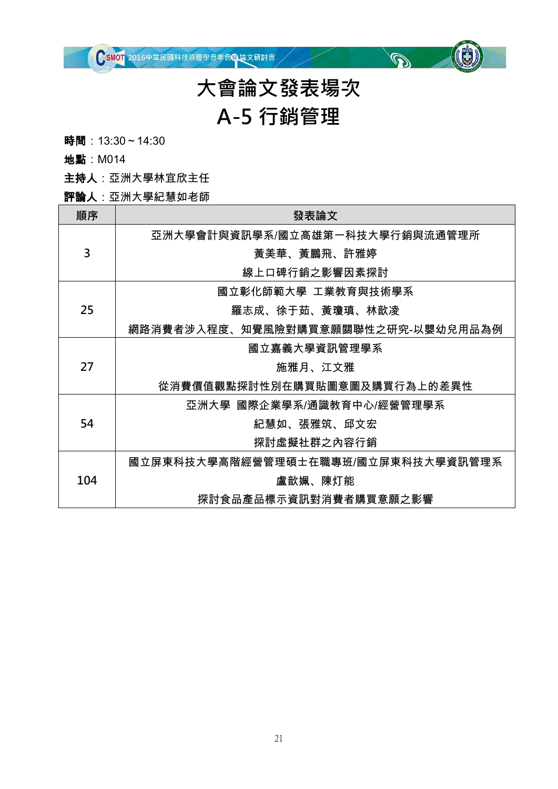

### **大會論文發表場次 A-5 行銷管理**

 $\mathbb{Q}^{\mathbb{Z}}$ 

時間: 13:30~14:30

地點:M014

主持人:亞洲大學林宜欣主任

評論人:亞洲大學紀慧如老師

| 順序  | 發表論文                               |
|-----|------------------------------------|
|     | 亞洲大學會計與資訊學系/國立高雄第一科技大學行銷與流通管理所     |
| 3   | 黃美華、黃鵬飛、許雅婷                        |
|     | 線上口碑行銷之影響因素探討                      |
|     | 國立彰化師範大學 工業教育與技術學系                 |
| 25  | 羅志成、徐于茹、黃瓊瑱、林歆凌                    |
|     | 網路消費者涉入程度、知覺風險對購買意願關聯性之研究-以嬰幼兒用品為例 |
|     | 國立嘉義大學資訊管理學系                       |
| 27  | 施雅月、江文雅                            |
|     | 從消費價值觀點探討性別在購買貼圖意圖及購買行為上的差異性       |
|     | 亞洲大學 國際企業學系/通識教育中心/經營管理學系          |
| 54  | 紀慧如、張雅筑、邱文宏                        |
|     | 探討虛擬社群之內容行銷                        |
| 104 | 國立屏東科技大學高階經營管理碩士在職專班/國立屏東科技大學資訊管理系 |
|     | 盧歆姵、陳灯能                            |
|     | 探討食品產品標示資訊對消費者購買意願之影響              |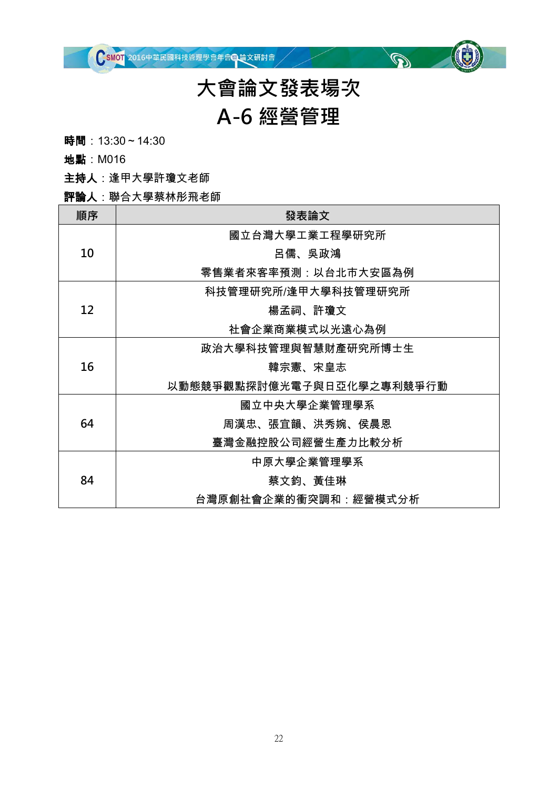

### **大會論文發表場次 A-6 經營管理**

 $\mathbb{Q}^{\vee}$ 

時間: 13:30~14:30

地點:M016

主持人:逢甲大學許瓊文老師

#### 評論人:聯合大學蔡林彤飛老師

| 順序 | 發表論文                      |
|----|---------------------------|
|    | 國立台灣大學工業工程學研究所            |
| 10 | 呂儒、吳政鴻                    |
|    | 零售業者來客率預測:以台北市大安區為例       |
|    | 科技管理研究所/逢甲大學科技管理研究所       |
| 12 | 楊孟祠、許瓊文                   |
|    | 社會企業商業模式以光遠心為例            |
|    | 政治大學科技管理與智慧財產研究所博士生       |
| 16 | 韓宗憲、宋皇志                   |
|    | 以動態競爭觀點探討億光電子與日亞化學之專利競爭行動 |
|    | 國立中央大學企業管理學系              |
| 64 | 周漢忠、張宜韻、洪秀婉、侯晨恩           |
|    | 臺灣金融控股公司經營生產力比較分析         |
| 84 | 中原大學企業管理學系                |
|    | 蔡文鈞、黃佳琳                   |
|    | 台灣原創社會企業的衝突調和:經營模式分析      |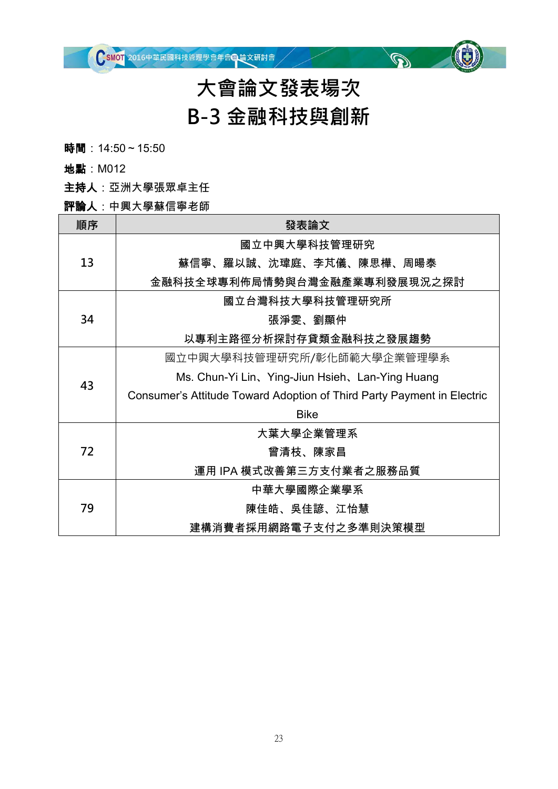# **大會論文發表場次 B-3 金融科技與創新**

 $\mathscr{D}$ 

時間: 14:50~15:50

地點:M012

主持人:亞洲大學張眾卓主任

#### 評論人:中興大學蘇信寧老師

| 順序 | 發表論文                                                                   |  |  |  |
|----|------------------------------------------------------------------------|--|--|--|
|    | 國立中興大學科技管理研究                                                           |  |  |  |
| 13 | 蘇信寧、羅以誠、沈瑋庭、李芃儀、陳思樺、周暘泰                                                |  |  |  |
|    | 金融科技全球專利佈局情勢與台灣金融產業專利發展現況之探討                                           |  |  |  |
|    | 國立台灣科技大學科技管理研究所                                                        |  |  |  |
| 34 | 張淨雯、劉顯仲                                                                |  |  |  |
|    | 以專利主路徑分析探討存貸類金融科技之發展趨勢                                                 |  |  |  |
|    | 國立中興大學科技管理研究所/彰化師範大學企業管理學系                                             |  |  |  |
| 43 | Ms. Chun-Yi Lin, Ying-Jiun Hsieh, Lan-Ying Huang                       |  |  |  |
|    | Consumer's Attitude Toward Adoption of Third Party Payment in Electric |  |  |  |
|    | <b>Bike</b>                                                            |  |  |  |
|    | 大葉大學企業管理系                                                              |  |  |  |
| 72 | 曾清枝、陳家昌                                                                |  |  |  |
|    | 運用 IPA 模式改善第三方支付業者之服務品質                                                |  |  |  |
| 79 | 中華大學國際企業學系                                                             |  |  |  |
|    | 陳佳皓、吳佳諺、江怡慧                                                            |  |  |  |
|    | 建構消費者採用網路電子支付之多準則決策模型                                                  |  |  |  |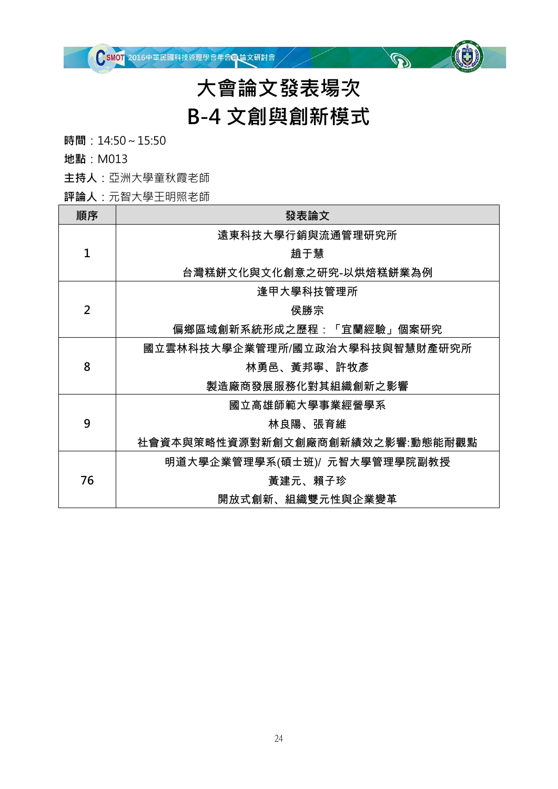

# **大會論文發表場次 B-4 文創與創新模式**

 $\mathbb{Q}^{\vee}$ 

**時間**:14:50~15:50

**地點**:M013

**主持人**:亞洲大學童秋霞老師

**評論人**:元智大學王明照老師

| 順序             | 發表論文                            |  |  |
|----------------|---------------------------------|--|--|
|                | 遠東科技大學行銷與流通管理研究所                |  |  |
| 1              | 趙于慧                             |  |  |
|                | 台灣糕餅文化與文化創意之研究-以烘焙糕餅業為例         |  |  |
|                | 逢甲大學科技管理所                       |  |  |
| $\overline{2}$ | 侯勝宗                             |  |  |
|                | 偏鄉區域創新系統形成之歷程:「宜蘭經驗」個案研究        |  |  |
|                | 國立雲林科技大學企業管理所/國立政治大學科技與智慧財產研究所  |  |  |
| 8              | 林勇邑、黃邦寧、許牧彥                     |  |  |
|                | 製造廠商發展服務化對其組織創新之影響              |  |  |
|                | 國立高雄師範大學事業經營學系                  |  |  |
| 9              | 林良陽、張育維                         |  |  |
|                | 社會資本與策略性資源對新創文創廠商創新績效之影響:動態能耐觀點 |  |  |
| 76             | 明道大學企業管理學系(碩士班)/ 元智大學管理學院副教授    |  |  |
|                | 黃建元、賴子珍                         |  |  |
|                | 開放式創新、組織雙元性與企業變革                |  |  |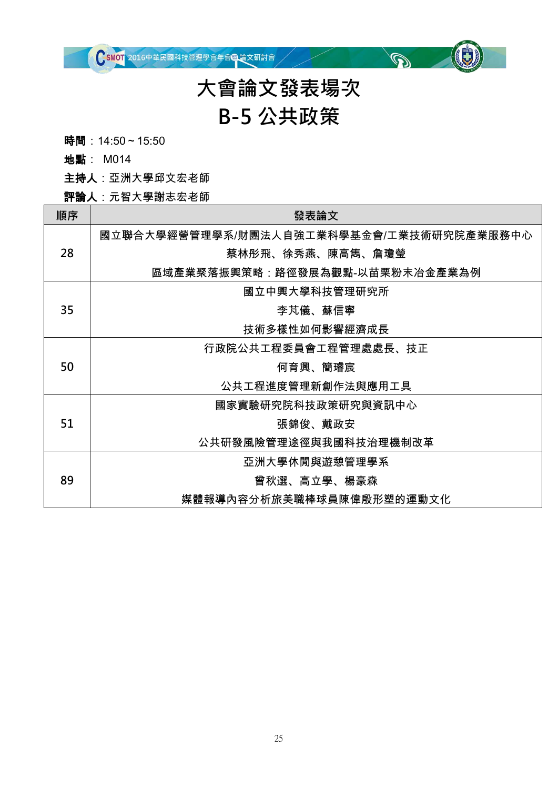

# **大會論文發表場次 B-5 公共政策**

 $\mathbb{Q}^{\mathbb{Z}}$ 

時間: 14:50~15:50

地點: M014

主持人:亞洲大學邱文宏老師

評論人:元智大學謝志宏老師

| 順序 | 發表論文                                     |
|----|------------------------------------------|
|    | 國立聯合大學經營管理學系/財團法人自強工業科學基金會/工業技術研究院產業服務中心 |
| 28 | 蔡林彤飛、徐秀燕、陳高雋、詹瓊瑩                         |
|    | 區域產業聚落振興策略:路徑發展為觀點-以苗栗粉末冶金產業為例           |
|    | 國立中興大學科技管理研究所                            |
| 35 | 李芃儀、蘇信寧                                  |
|    | 技術多樣性如何影響經濟成長                            |
|    | 行政院公共工程委員會工程管理處處長、技正                     |
| 50 | 何育興、簡璿宸                                  |
|    | 公共工程進度管理新創作法與應用工具                        |
|    | 國家實驗研究院科技政策研究與資訊中心                       |
| 51 | 張錦俊、戴政安                                  |
|    | 公共研發風險管理途徑與我國科技治理機制改革                    |
|    | 亞洲大學休閒與遊憩管理學系                            |
| 89 | 曾秋選、高立學、楊豪森                              |
|    | 媒體報導內容分析旅美職棒球員陳偉殷形塑的運動文化                 |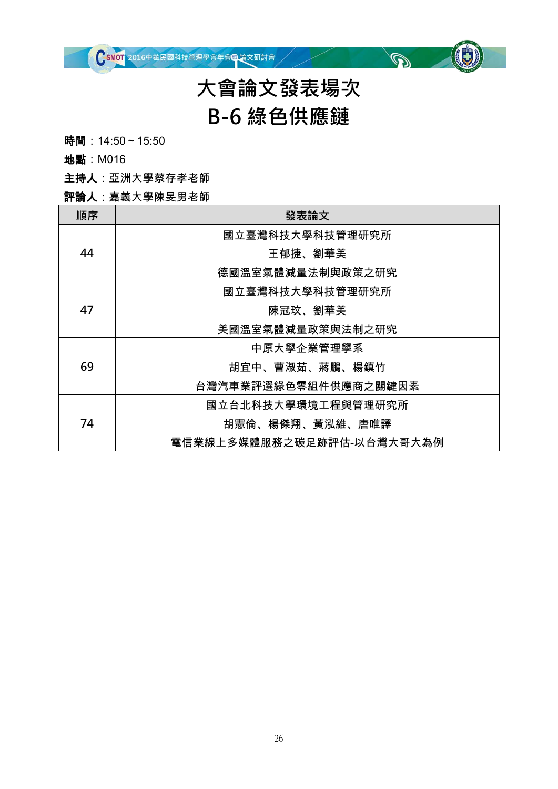

# **大會論文發表場次 B-6 綠色供應鏈**

 $\mathscr{D}$ 

時間: 14:50~15:50

地點:M016

主持人:亞洲大學蔡存孝老師

#### 評論人:嘉義大學陳旻男老師

| 順序 | 發表論文                      |
|----|---------------------------|
|    | 國立臺灣科技大學科技管理研究所           |
| 44 | 王郁捷、劉華美                   |
|    | 德國溫室氣體減量法制與政策之研究          |
|    | 國立臺灣科技大學科技管理研究所           |
| 47 | 陳冠玟、劉華美                   |
|    | 美國溫室氣體減量政策與法制之研究          |
|    | 中原大學企業管理學系                |
| 69 | 胡宜中、曹淑茹、蔣鵬、楊鎮竹            |
|    | 台灣汽車業評選綠色零組件供應商之關鍵因素      |
|    | 國立台北科技大學環境工程與管理研究所        |
| 74 | 胡憲倫、楊傑翔、黃泓維、唐唯譯           |
|    | 電信業線上多媒體服務之碳足跡評估-以台灣大哥大為例 |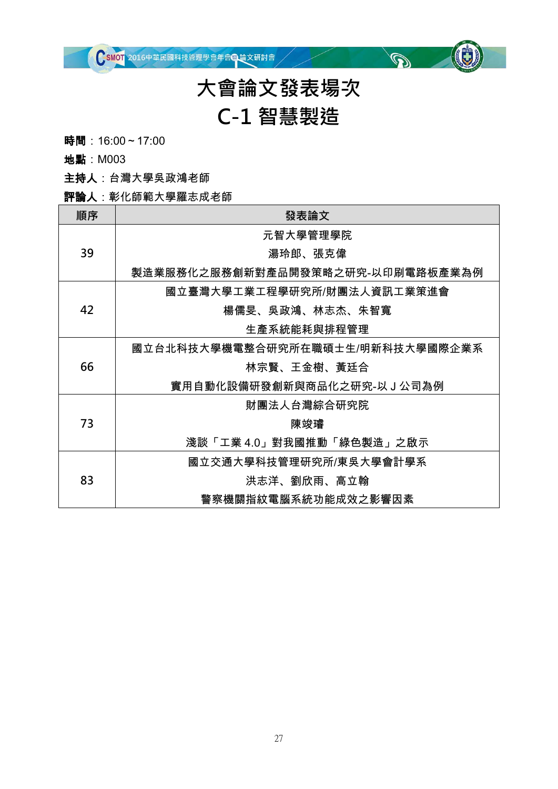

### **大會論文發表場次 C-1 智慧製造**

 $\mathbb{Q}^{\mathbb{Z}}$ 

時間: 16:00~17:00

地點:M003

主持人:台灣大學吳政鴻老師

#### 評論人:彰化師範大學羅志成老師

| 順序 | 發表論文                             |
|----|----------------------------------|
| 39 | 元智大學管理學院                         |
|    | 湯玲郎、張克偉                          |
|    | 製造業服務化之服務創新對產品開發策略之研究-以印刷電路板產業為例 |
| 42 | 國立臺灣大學工業工程學研究所/財團法人資訊工業策進會       |
|    | 楊儒旻、吳政鴻、林志杰、朱智寬                  |
|    | 生產系統能耗與排程管理                      |
| 66 | 國立台北科技大學機電整合研究所在職碩士生/明新科技大學國際企業系 |
|    | 林宗賢、王金樹、黃廷合                      |
|    | 實用自動化設備研發創新與商品化之研究-以J公司為例        |
| 73 | 財團法人台灣綜合研究院                      |
|    | 陳竣璿                              |
|    | 淺談「工業40」對我國推動「綠色製造」之啟示           |
| 83 | 國立交通大學科技管理研究所/東吳大學會計學系           |
|    | 洪志洋、劉欣雨、高立翰                      |
|    | 警察機關指紋電腦系統功能成效之影響因素              |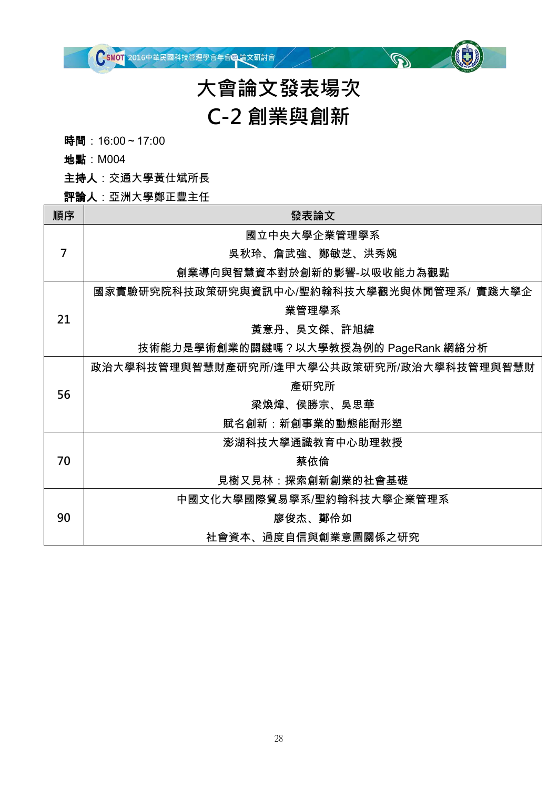

### **大會論文發表場次 C-2 創業與創新**

 $\mathbb{Q}^{\mathbb{Z}}$ 

時間: 16:00~17:00

地點:M004

主持人:交通大學黃仕斌所長

#### 評論人:亞洲大學鄭正豐主任

| 順序 | 發表論文                                      |
|----|-------------------------------------------|
| 7  | 國立中央大學企業管理學系                              |
|    | 吳秋玲、詹武強、鄭敏芝、洪秀婉                           |
|    | 創業導向與智慧資本對於創新的影響-以吸收能力為觀點                 |
| 21 | 國家實驗研究院科技政策研究與資訊中心/聖約翰科技大學觀光與休閒管理系/ 實踐大學企 |
|    | 業管理學系                                     |
|    | 黃意丹、吳文傑、許旭緯                               |
|    | 技術能力是學術創業的關鍵嗎?以大學教授為例的 PageRank 網絡分析      |
| 56 | 政治大學科技管理與智慧財產研究所/逢甲大學公共政策研究所/政治大學科技管理與智慧財 |
|    | 產研究所                                      |
|    | 梁煥煒、侯勝宗、吳思華                               |
|    | 賦名創新:新創事業的動態能耐形塑                          |
| 70 | 澎湖科技大學通識教育中心助理教授                          |
|    | 蔡依倫                                       |
|    | 見樹又見林:探索創新創業的社會基礎                         |
| 90 | 中國文化大學國際貿易學系/聖約翰科技大學企業管理系                 |
|    | 廖俊杰、鄭伶如                                   |
|    | 社會資本、過度自信與創業意圖關係之研究                       |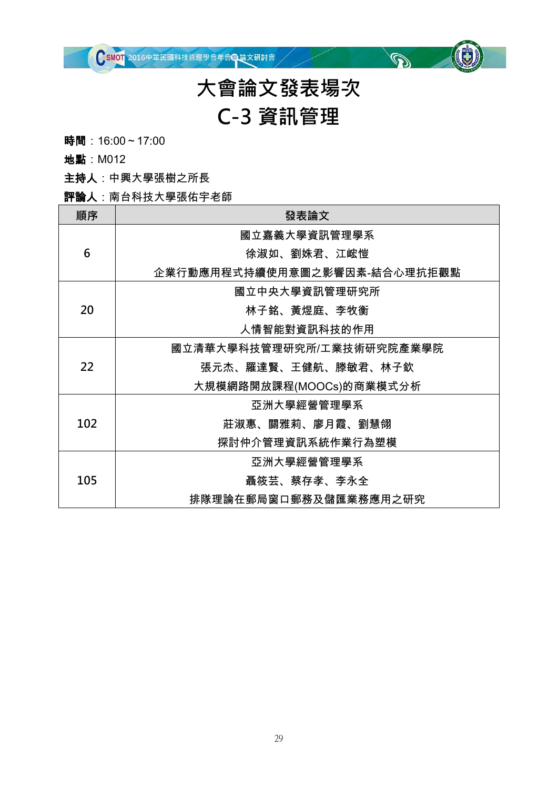

### **大會論文發表場次 C-3 資訊管理**

 $\mathbb{Q}^{\mathbb{Z}}$ 

時間: 16:00~17:00

地點:M012

主持人:中興大學張樹之所長

#### 評論人:南台科技大學張佑宇老師

| 順序  | 發表論文                         |
|-----|------------------------------|
| 6   | 國立嘉義大學資訊管理學系                 |
|     | 徐淑如、劉姝君、江峵愷                  |
|     | 企業行動應用程式持續使用意圖之影響因素-結合心理抗拒觀點 |
| 20  | 國立中央大學資訊管理研究所                |
|     | 林子銘、黃煜庭、李牧衡                  |
|     | 人情智能對資訊科技的作用                 |
|     | 國立清華大學科技管理研究所/工業技術研究院產業學院    |
| 22  | 張元杰、羅達賢、王健航、滕敏君、林子欽          |
|     | 大規模網路開放課程(MOOCs)的商業模式分析      |
| 102 | 亞洲大學經營管理學系                   |
|     | 莊淑惠、關雅莉、廖月霞、劉慧翎              |
|     | 探討仲介管理資訊系統作業行為塑模             |
| 105 | 亞洲大學經營管理學系                   |
|     | 聶筱芸、蔡存孝、李永全                  |
|     | 排隊理論在郵局窗口郵務及儲匯業務應用之研究        |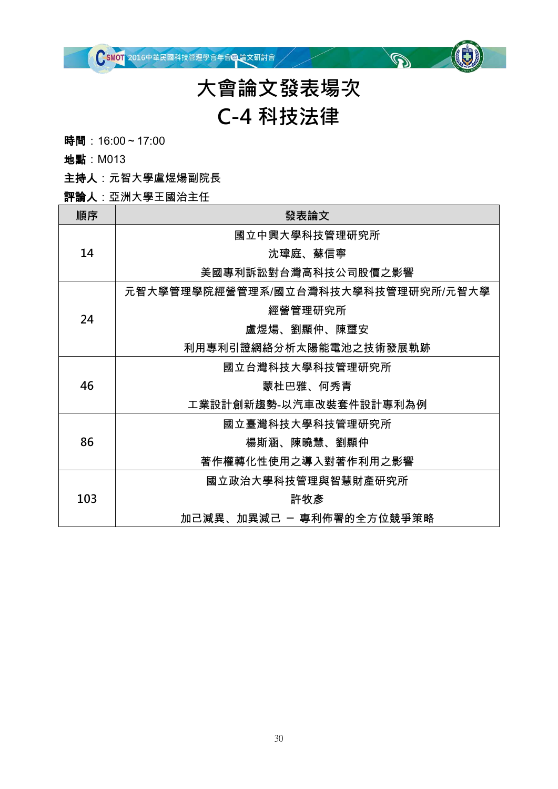

### **大會論文發表場次 C-4 科技法律**

 $\mathbb{Q}^{\vee}$ 

時間: 16:00~17:00

地點:M013

主持人:元智大學盧煜煬副院長

評論人:亞洲大學王國治主任

| 順序  | 發表論文                               |
|-----|------------------------------------|
| 14  | 國立中興大學科技管理研究所                      |
|     | 沈瑋庭、蘇信寧                            |
|     | 美國專利訴訟對台灣高科技公司股價之影響                |
|     | 元智大學管理學院經營管理系/國立台灣科技大學科技管理研究所/元智大學 |
|     | 經營管理研究所                            |
| 24  | 盧煜煬、劉顯仲、陳璽安                        |
|     | 利用專利引證網絡分析太陽能電池之技術發展軌跡             |
| 46  | 國立台灣科技大學科技管理研究所                    |
|     | 蒙杜巴雅、何秀青                           |
|     | 工業設計創新趨勢-以汽車改裝套件設計專利為例             |
| 86  | 國立臺灣科技大學科技管理研究所                    |
|     | 楊斯涵、陳曉慧、劉顯仲                        |
|     | 著作權轉化性使用之導入對著作利用之影響                |
| 103 | 國立政治大學科技管理與智慧財產研究所                 |
|     | 許牧彥                                |
|     | 加己減異、加異減己 ㄧ 專利佈署的全方位競爭策略           |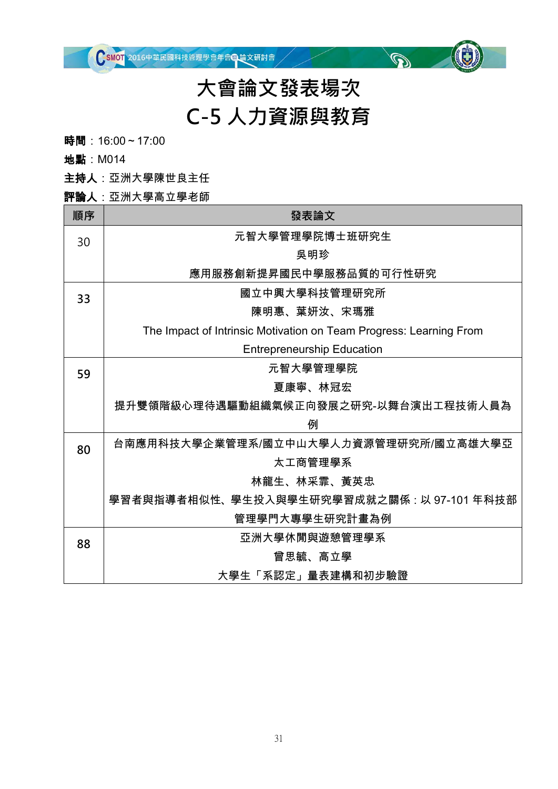# **大會論文發表場次 C-5 人力資源與教育**

 $\mathbb{Q}^{\mathbb{Z}}$ 

時間: 16:00~17:00

地點:M014

主持人:亞洲大學陳世良主任

#### 評論人:亞洲大學高立學老師

| 順序 | 發表論文                                                               |
|----|--------------------------------------------------------------------|
| 30 | 元智大學管理學院博士班研究生                                                     |
|    | 吳明珍                                                                |
|    | 應用服務創新提昇國民中學服務品質的可行性研究                                             |
| 33 | 國立中興大學科技管理研究所                                                      |
|    | 陳明惠、葉妍汝、宋瑪雅                                                        |
|    | The Impact of Intrinsic Motivation on Team Progress: Learning From |
|    | <b>Entrepreneurship Education</b>                                  |
| 59 | 元智大學管理學院                                                           |
|    | 夏康寧、林冠宏                                                            |
|    | 提升雙領階級心理待遇驅動組織氣候正向發展之研究-以舞台演出工程技術人員為                               |
|    | 例                                                                  |
| 80 | 台南應用科技大學企業管理系/國立中山大學人力資源管理研究所/國立高雄大學亞                              |
|    | 太工商管理學系                                                            |
|    | 林龍生、林采霏、黃英忠                                                        |
|    | 學習者與指導者相似性、學生投入與學生研究學習成就之關係 : 以 97-101 年科技部                        |
|    | 管理學門大專學生研究計畫為例                                                     |
| 88 | 亞洲大學休閒與遊憩管理學系                                                      |
|    | 曾思毓、高立學                                                            |
|    | 大學生「系認定」量表建構和初步驗證                                                  |